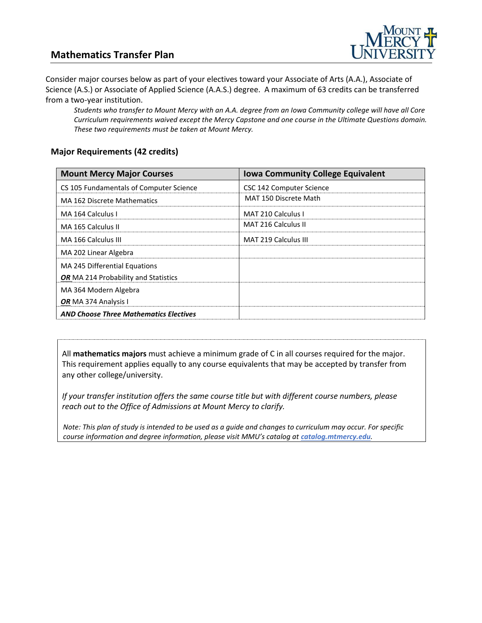## **Mathematics Transfer Plan**



Consider major courses below as part of your electives toward your Associate of Arts (A.A.), Associate of Science (A.S.) or Associate of Applied Science (A.A.S.) degree. A maximum of 63 credits can be transferred from a two-year institution.

*Students who transfer to Mount Mercy with an A.A. degree from an Iowa Community college will have all Core Curriculum requirements waived except the Mercy Capstone and one course in the Ultimate Questions domain. These two requirements must be taken at Mount Mercy.* 

#### **Major Requirements (42 credits)**

| <b>Mount Mercy Major Courses</b>              | <b>Iowa Community College Equivalent</b> |
|-----------------------------------------------|------------------------------------------|
| CS 105 Fundamentals of Computer Science       | CSC 142 Computer Science                 |
| MA 162 Discrete Mathematics                   | MAT 150 Discrete Math                    |
| MA 164 Calculus I                             | MAT 210 Calculus I                       |
| MA 165 Calculus II                            | MAT 216 Calculus II                      |
| MA 166 Calculus III                           | <b>MAT 219 Calculus III</b>              |
| MA 202 Linear Algebra                         |                                          |
| MA 245 Differential Equations                 |                                          |
| OR MA 214 Probability and Statistics          |                                          |
| MA 364 Modern Algebra                         |                                          |
| OR MA 374 Analysis I                          |                                          |
| <b>AND Choose Three Mathematics Electives</b> |                                          |

All **mathematics majors** must achieve a minimum grade of C in all courses required for the major. This requirement applies equally to any course equivalents that may be accepted by transfer from any other college/university.

*If your transfer institution offers the same course title but with different course numbers, please reach out to the Office of Admissions at Mount Mercy to clarify.*

*Note: This plan of study is intended to be used as a guide and changes to curriculum may occur. For specific course information and degree information, please visit MMU's catalog at catalog.mtmercy.edu.*